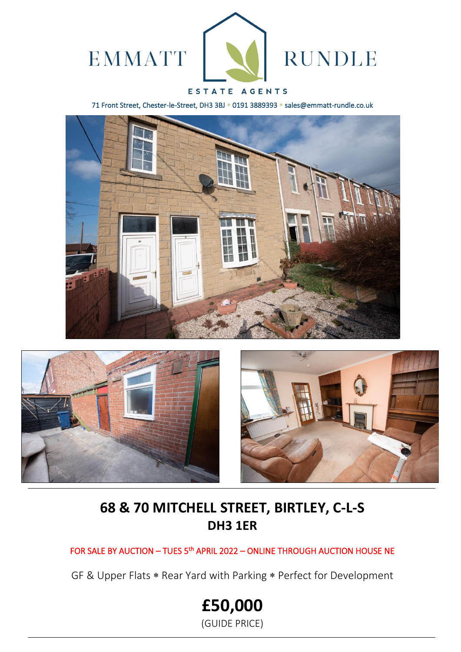

# ESTATE AGENTS

71 Front Street, Chester-le-Street, DH3 3BJ \* 0191 3889393 \* sales@emmatt-rundle.co.uk







# **68 & 70 MITCHELL STREET, BIRTLEY, C-L-S DH3 1ER**

FOR SALE BY AUCTION - TUES 5<sup>th</sup> APRIL 2022 - ONLINE THROUGH AUCTION HOUSE NE

GF & Upper Flats \* Rear Yard with Parking \* Perfect for Development

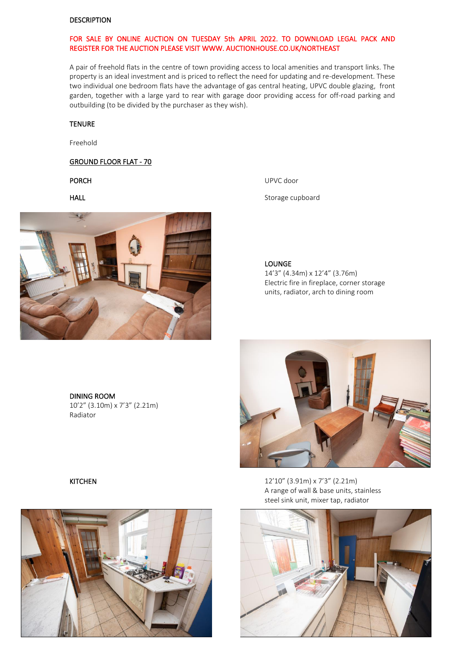#### DESCRIPTION

### FOR SALE BY ONLINE AUCTION ON TUESDAY 5th APRIL 2022. TO DOWNLOAD LEGAL PACK AND REGISTER FOR THE AUCTION PLEASE VISIT WWW. AUCTIONHOUSE.CO.UK/NORTHEAST

A pair of freehold flats in the centre of town providing access to local amenities and transport links. The property is an ideal investment and is priced to reflect the need for updating and re-development. These two individual one bedroom flats have the advantage of gas central heating, UPVC double glazing, front garden, together with a large yard to rear with garage door providing access for off-road parking and outbuilding (to be divided by the purchaser as they wish).

#### **TENURE**

Freehold

#### GROUND FLOOR FLAT - 70



PORCH UPVC door

HALL **HALL** Storage cupboard

LOUNGE

14'3" (4.34m) x 12'4" (3.76m) Electric fire in fireplace, corner storage units, radiator, arch to dining room

#### DINING ROOM 10'2" (3.10m) x 7'3" (2.21m) Radiator





KITCHEN 12'10" (3.91m) x 7'3" (2.21m) A range of wall & base units, stainless steel sink unit, mixer tap, radiator

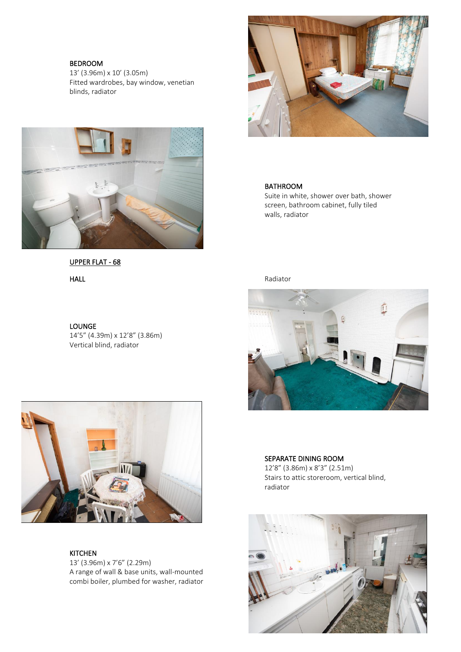#### BEDROOM

13' (3.96m) x 10' (3.05m) Fitted wardrobes, bay window, venetian blinds, radiator



# UPPER FLAT - 68

#### LOUNGE

14'5" (4.39m) x 12'8" (3.86m) Vertical blind, radiator



# BATHROOM

Suite in white, shower over bath, shower screen, bathroom cabinet, fully tiled walls, radiator

HALL Radiator





KITCHEN

13' (3.96m) x 7'6" (2.29m) A range of wall & base units, wall-mounted combi boiler, plumbed for washer, radiator

# SEPARATE DINING ROOM

12'8" (3.86m) x 8'3" (2.51m) Stairs to attic storeroom, vertical blind, radiator